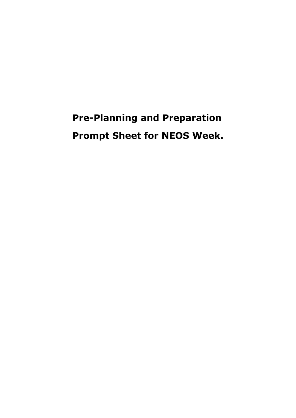# **Pre-Planning and Preparation Prompt Sheet for NEOS Week.**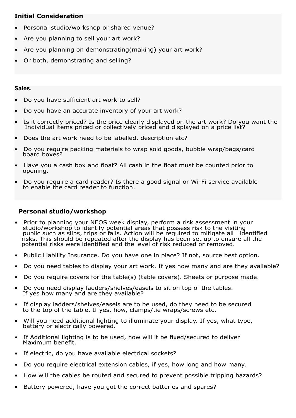## **Initial Consideration**

- Personal studio/workshop or shared venue?
- Are you planning to sell your art work?
- Are you planning on demonstrating(making) your art work?
- Or both, demonstrating and selling?

## **Sales.**

- Do you have sufficient art work to sell?
- Do you have an accurate inventory of your art work?
- Is it correctly priced? Is the price clearly displayed on the art work? Do you want the Individual items priced or collectively priced and displayed on a price list?
- Does the art work need to be labelled, description etc?
- Do you require packing materials to wrap sold goods, bubble wrap/bags/card board boxes?
- Have you a cash box and float? All cash in the float must be counted prior to opening.
- Do you require a card reader? Is there a good signal or Wi-Fi service available to enable the card reader to function.

# **Personal studio/workshop**

- Prior to planning your NEOS week display, perform a risk assessment in your studio/workshop to identify potential areas that possess risk to the visiting public such as slips, trips or falls. Action will be required to mitigate all identified risks. This should be repeated after the display has been set up to ensure all the potential risks were identified and the level of risk reduced or removed.
- Public Liability Insurance. Do you have one in place? If not, source best option.
- Do you need tables to display your art work. If yes how many and are they available?
- Do you require covers for the table(s) (table covers). Sheets or purpose made.
- Do you need display ladders/shelves/easels to sit on top of the tables. If yes how many and are they available?
- If display ladders/shelves/easels are to be used, do they need to be secured to the top of the table. If yes, how, clamps/tie wraps/screws etc.
- Will you need additional lighting to illuminate your display. If yes, what type, battery or electrically powered.
- If Additional lighting is to be used, how will it be fixed/secured to deliver Maximum benefit.
- If electric, do you have available electrical sockets?
- Do you require electrical extension cables, if yes, how long and how many.
- How will the cables be routed and secured to prevent possible tripping hazards?
- Battery powered, have you got the correct batteries and spares?